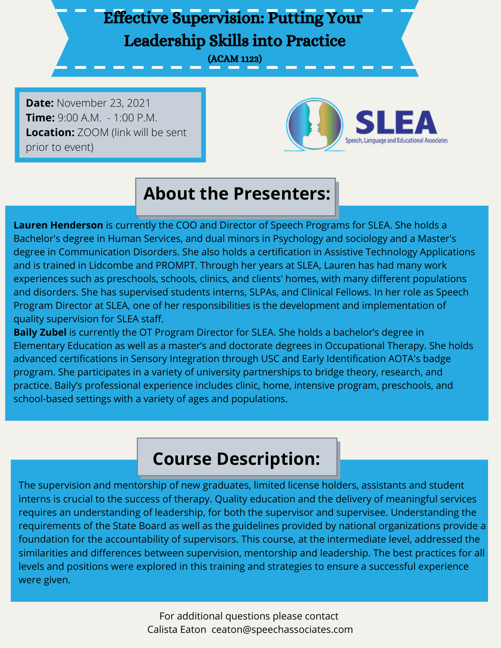## Effective Supervision: Putting Your Leadership Skills into Practice

(ACAM 1123)

**Date:** November 23, 2021 **Time:** 9:00 A.M. - 1:00 P.M. **Location:** ZOOM (link will be sent prior to event)



# **About the Presenters:**

**Lauren Henderson** is currently the COO and Director of Speech Programs for SLEA. She holds a Bachelor's degree in Human Services, and dual minors in Psychology and sociology and a Master's degree in Communication Disorders. She also holds a certification in Assistive Technology Applications and is trained in Lidcombe and PROMPT. Through her years at SLEA, Lauren has had many work experiences such as preschools, schools, clinics, and clients' homes, with many different populations and disorders. She has supervised students interns, SLPAs, and Clinical Fellows. In her role as Speech Program Director at SLEA, one of her responsibilities is the development and implementation of quality supervision for SLEA staff.

**Baily Zubel** is currently the OT Program Director for SLEA. She holds a bachelor's degree in Elementary Education as well as a master's and doctorate degrees in Occupational Therapy. She holds advanced certifications in Sensory Integration through USC and Early Identification AOTA's badge program. She participates in a variety of university partnerships to bridge theory, research, and practice. Baily's professional experience includes clinic, home, intensive program, preschools, and school-based settings with a variety of ages and populations.

### **Course Description:**

The supervision and mentorship of new graduates, limited license holders, assistants and student interns is crucial to the success of therapy. Quality education and the delivery of meaningful services requires an understanding of leadership, for both the supervisor and supervisee. Understanding the requirements of the State Board as well as the guidelines provided by national organizations provide a foundation for the accountability of supervisors. This course, at the intermediate level, addressed the similarities and differences between supervision, mentorship and leadership. The best practices for all levels and positions were explored in this training and strategies to ensure a successful experience were given.

> For additional questions please contact Calista Eaton ceaton@speechassociates.com